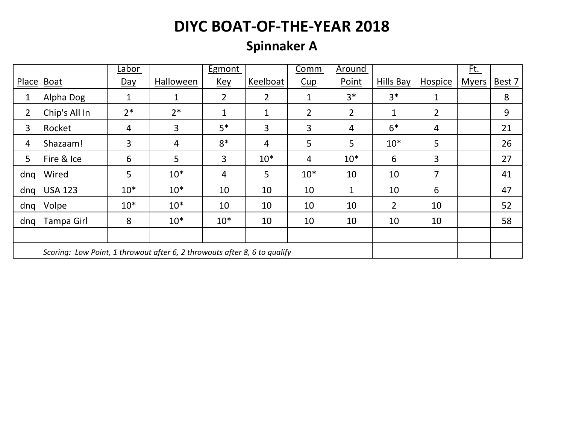### **Spinnaker A**

|                |                                                                           | Labor        |           | <b>Egmont</b>  |                | Comm           | Around         |                |                | <u>Ft.</u>   |        |
|----------------|---------------------------------------------------------------------------|--------------|-----------|----------------|----------------|----------------|----------------|----------------|----------------|--------------|--------|
| Place   Boat   |                                                                           | $Day$        | Halloween | <u>Key</u>     | Keelboat       | Cup            | Point          | Hills Bay      | <b>Hospice</b> | <b>Myers</b> | Best 7 |
| $\mathbf 1$    | Alpha Dog                                                                 | $\mathbf{1}$ | 1         | $\overline{2}$ | $\overline{2}$ | $\mathbf{1}$   | $3*$           | $3*$           | $\mathbf{1}$   |              | 8      |
| $\overline{2}$ | Chip's All In                                                             | $2*$         | $2*$      | $\mathbf{1}$   | $\mathbf{1}$   | $\overline{2}$ | $\overline{2}$ | $\mathbf 1$    | $\overline{2}$ |              | 9      |
| 3              | Rocket                                                                    | 4            | 3         | $5*$           | $\overline{3}$ | 3              | 4              | $6*$           | 4              |              | 21     |
| 4              | Shazaam!                                                                  | 3            | 4         | $8*$           | $\overline{4}$ | 5              | 5              | $10*$          | 5              |              | 26     |
| 5              | Fire & Ice                                                                | 6            | 5         | 3              | $10*$          | $\overline{4}$ | $10*$          | 6              | 3              |              | 27     |
| dnq            | Wired                                                                     | 5            | $10*$     | 4              | 5              | $10*$          | 10             | 10             | 7              |              | 41     |
| dng            | <b>USA 123</b>                                                            | $10*$        | $10*$     | 10             | 10             | 10             | 1              | 10             | 6              |              | 47     |
| dng            | Volpe                                                                     | $10*$        | $10*$     | 10             | 10             | 10             | 10             | $\overline{2}$ | 10             |              | 52     |
| dng            | Tampa Girl                                                                | 8            | $10*$     | $10*$          | 10             | 10             | 10             | 10             | 10             |              | 58     |
|                |                                                                           |              |           |                |                |                |                |                |                |              |        |
|                | Scoring: Low Point, 1 throwout after 6, 2 throwouts after 8, 6 to qualify |              |           |                |                |                |                |                |                |              |        |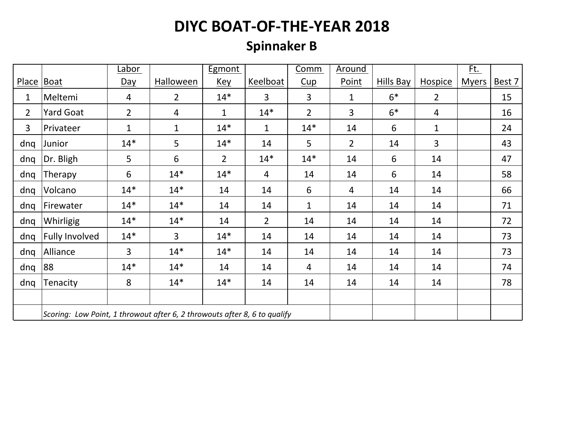### **Spinnaker B**

|                |                                                                           | Labor          |                | <b>Egmont</b>  |                | Comm           | Around         |           |                | <u>Ft.</u>   |        |
|----------------|---------------------------------------------------------------------------|----------------|----------------|----------------|----------------|----------------|----------------|-----------|----------------|--------------|--------|
| Place Boat     |                                                                           | $Day$          | Halloween      | <u>Key</u>     | Keelboat       | Cup            | Point          | Hills Bay | <b>Hospice</b> | <b>Myers</b> | Best 7 |
| $\mathbf{1}$   | Meltemi                                                                   | $\overline{4}$ | $2^{\circ}$    | $14*$          | $\overline{3}$ | 3              | $\mathbf{1}$   | $6*$      | $\overline{2}$ |              | 15     |
| $\overline{2}$ | <b>Yard Goat</b>                                                          | $\overline{2}$ | $\overline{4}$ | $\mathbf{1}$   | $14*$          | $\overline{2}$ | $\overline{3}$ | $6*$      | $\overline{4}$ |              | 16     |
| 3              | Privateer                                                                 | $\mathbf{1}$   | $\mathbf{1}$   | $14*$          | $\mathbf{1}$   | $14*$          | 14             | 6         | $\mathbf{1}$   |              | 24     |
| dnq            | Junior                                                                    | $14*$          | 5              | $14*$          | 14             | 5              | $\overline{2}$ | 14        | 3              |              | 43     |
| dng            | Dr. Bligh                                                                 | 5              | 6              | $\overline{2}$ | $14*$          | $14*$          | 14             | 6         | 14             |              | 47     |
| dnq            | Therapy                                                                   | 6              | $14*$          | $14*$          | $\overline{4}$ | 14             | 14             | 6         | 14             |              | 58     |
| dnq            | Volcano                                                                   | $14*$          | $14*$          | 14             | 14             | 6              | 4              | 14        | 14             |              | 66     |
| dnq            | Firewater                                                                 | $14*$          | $14*$          | 14             | 14             | $\mathbf{1}$   | 14             | 14        | 14             |              | 71     |
| dnq            | Whirligig                                                                 | $14*$          | $14*$          | 14             | $\overline{2}$ | 14             | 14             | 14        | 14             |              | 72     |
| dnq            | <b>Fully Involved</b>                                                     | $14*$          | 3              | $14*$          | 14             | 14             | 14             | 14        | 14             |              | 73     |
| dnq            | Alliance                                                                  | 3              | $14*$          | $14*$          | 14             | 14             | 14             | 14        | 14             |              | 73     |
| dnq            | 88                                                                        | $14*$          | $14*$          | 14             | 14             | 4              | 14             | 14        | 14             |              | 74     |
| dnq            | Tenacity                                                                  | 8              | $14*$          | $14*$          | 14             | 14             | 14             | 14        | 14             |              | 78     |
|                |                                                                           |                |                |                |                |                |                |           |                |              |        |
|                | Scoring: Low Point, 1 throwout after 6, 2 throwouts after 8, 6 to qualify |                |                |                |                |                |                |           |                |              |        |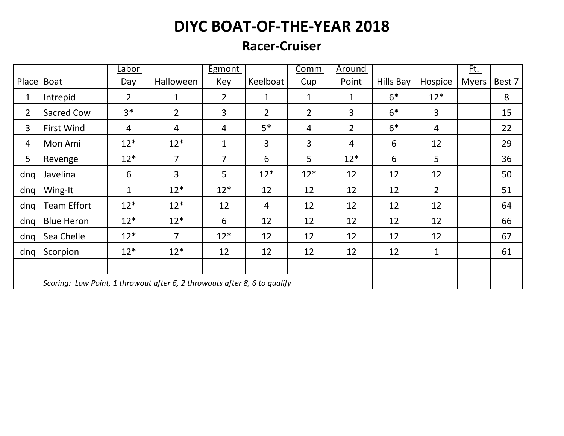#### **Racer-Cruiser**

|                |                                                                           | Labor          |                | Egmont          |                | Comm           | Around         |           |                | Ft.          |        |
|----------------|---------------------------------------------------------------------------|----------------|----------------|-----------------|----------------|----------------|----------------|-----------|----------------|--------------|--------|
| Place          | Boat                                                                      | <u>Day</u>     | Halloween      | <b>Key</b>      | Keelboat       | Cup            | Point          | Hills Bay | <b>Hospice</b> | <b>Myers</b> | Best 7 |
| 1              | Intrepid                                                                  | $\overline{2}$ | 1              | $\overline{2}$  | $\mathbf{1}$   | $\mathbf{1}$   | 1              | $6*$      | $12*$          |              | 8      |
| $\overline{2}$ | Sacred Cow                                                                | $3*$           | $\overline{2}$ | $\overline{3}$  | $\overline{2}$ | $\overline{2}$ | 3              | $6*$      | 3              |              | 15     |
| 3              | <b>First Wind</b>                                                         | 4              | 4              | $\overline{4}$  | $5*$           | 4              | $\overline{2}$ | $6*$      | 4              |              | 22     |
| 4              | Mon Ami                                                                   | $12*$          | $12*$          | 1               | $\overline{3}$ | 3              | $\overline{4}$ | 6         | 12             |              | 29     |
| 5              | Revenge                                                                   | $12*$          | $\overline{7}$ | $\overline{7}$  | 6              | 5              | $12*$          | 6         | 5              |              | 36     |
| dnq            | Javelina                                                                  | 6              | $\overline{3}$ | $5\overline{)}$ | $12*$          | $12*$          | 12             | 12        | 12             |              | 50     |
| dnq            | Wing-It                                                                   | 1              | $12*$          | $12*$           | 12             | 12             | 12             | 12        | $\overline{2}$ |              | 51     |
| dnq            | <b>Team Effort</b>                                                        | $12*$          | $12*$          | 12              | $\overline{4}$ | 12             | 12             | 12        | 12             |              | 64     |
| dnq            | <b>Blue Heron</b>                                                         | $12*$          | $12*$          | 6               | 12             | 12             | 12             | 12        | 12             |              | 66     |
| dng            | Sea Chelle                                                                | $12*$          | $\overline{7}$ | $12*$           | 12             | 12             | 12             | 12        | 12             |              | 67     |
| dnq            | Scorpion                                                                  | $12*$          | $12*$          | 12              | 12             | 12             | 12             | 12        | 1              |              | 61     |
|                |                                                                           |                |                |                 |                |                |                |           |                |              |        |
|                | Scoring: Low Point, 1 throwout after 6, 2 throwouts after 8, 6 to qualify |                |                |                 |                |                |                |           |                |              |        |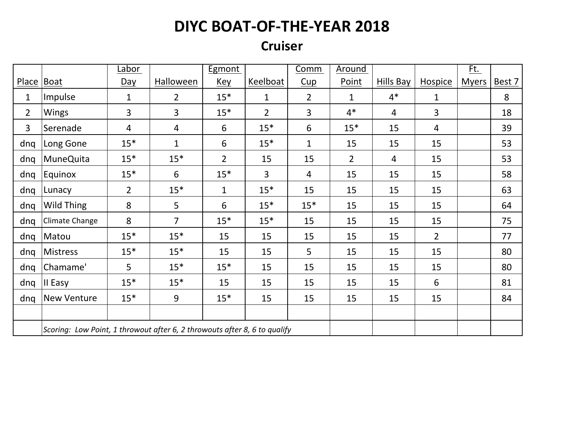#### **Cruiser**

|                |                                                                           | <u>Labor</u>   |                  | <b>Egmont</b>  |                 | Comm           | <u>Around</u>  |                  |                | <u>Ft.</u>   |        |
|----------------|---------------------------------------------------------------------------|----------------|------------------|----------------|-----------------|----------------|----------------|------------------|----------------|--------------|--------|
| <b>Place</b>   | Boat                                                                      | Day            | <b>Halloween</b> | <u>Key</u>     | <b>Keelboat</b> | Cup            | Point          | <b>Hills Bay</b> | <b>Hospice</b> | <u>Myers</u> | Best 7 |
| 1              | Impulse                                                                   | $\mathbf 1$    | $\overline{2}$   | $15*$          | $\mathbf{1}$    | $\overline{2}$ | $\mathbf{1}$   | $4*$             | $\mathbf{1}$   |              | 8      |
| $\overline{2}$ | <b>Wings</b>                                                              | 3              | 3                | $15*$          | $\overline{2}$  | 3              | $4*$           | $\overline{4}$   | 3              |              | 18     |
| 3              | Serenade                                                                  | 4              | 4                | 6              | $15*$           | 6              | $15*$          | 15               | 4              |              | 39     |
| dnq            | Long Gone                                                                 | $15*$          | $\mathbf{1}$     | 6              | $15*$           | $\mathbf{1}$   | 15             | 15               | 15             |              | 53     |
| dnq            | <b>MuneQuita</b>                                                          | $15*$          | $15*$            | $\overline{2}$ | 15              | 15             | $\overline{2}$ | $\overline{4}$   | 15             |              | 53     |
| dnq            | <b>Equinox</b>                                                            | $15*$          | 6                | $15*$          | $\overline{3}$  | $\overline{4}$ | 15             | 15               | 15             |              | 58     |
| dnq            | Lunacy                                                                    | $\overline{2}$ | $15*$            | $\mathbf{1}$   | $15*$           | 15             | 15             | 15               | 15             |              | 63     |
| dnq            | <b>Wild Thing</b>                                                         | 8              | 5                | 6              | $15*$           | $15*$          | 15             | 15               | 15             |              | 64     |
| dnq            | Climate Change                                                            | 8              | $\overline{7}$   | $15*$          | $15*$           | 15             | 15             | 15               | 15             |              | 75     |
| dnq            | Matou                                                                     | $15*$          | $15*$            | 15             | 15              | 15             | 15             | 15               | $\overline{2}$ |              | 77     |
| dnq            | Mistress                                                                  | $15*$          | $15*$            | 15             | 15              | 5              | 15             | 15               | 15             |              | 80     |
| dnq            | Chamame'                                                                  | 5              | $15*$            | $15*$          | 15              | 15             | 15             | 15               | 15             |              | 80     |
| dnq            | II Easy                                                                   | $15*$          | $15*$            | 15             | 15              | 15             | 15             | 15               | 6              |              | 81     |
| dnq            | <b>New Venture</b>                                                        | $15*$          | 9                | $15*$          | 15              | 15             | 15             | 15               | 15             |              | 84     |
|                |                                                                           |                |                  |                |                 |                |                |                  |                |              |        |
|                | Scoring: Low Point, 1 throwout after 6, 2 throwouts after 8, 6 to qualify |                |                  |                |                 |                |                |                  |                |              |        |